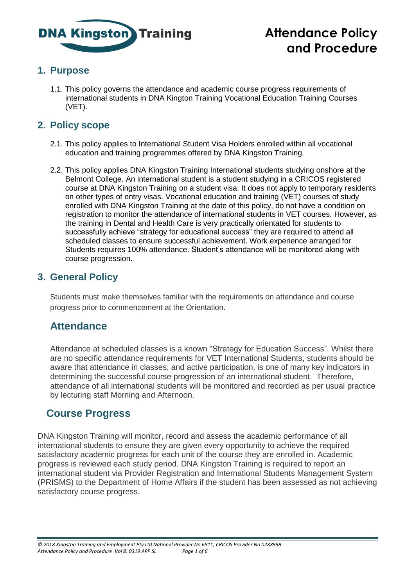

# **Attendance Policy and Procedure**

## **1. Purpose**

1.1. This policy governs the attendance and academic course progress requirements of international students in DNA Kington Training Vocational Education Training Courses (VET).

#### **2. Policy scope**

- 2.1. This policy applies to International Student Visa Holders enrolled within all vocational education and training programmes offered by DNA Kingston Training.
- 2.2. This policy applies DNA Kingston Training International students studying onshore at the Belmont College. An international student is a student studying in a CRICOS registered course at DNA Kingston Training on a student visa. It does not apply to temporary residents on other types of entry visas. Vocational education and training (VET) courses of study enrolled with DNA Kingston Training at the date of this policy, do not have a condition on registration to monitor the attendance of international students in VET courses. However, as the training in Dental and Health Care is very practically orientated for students to successfully achieve "strategy for educational success" they are required to attend all scheduled classes to ensure successful achievement. Work experience arranged for Students requires 100% attendance. Student's attendance will be monitored along with course progression.

#### **3. General Policy**

Students must make themselves familiar with the requirements on attendance and course progress prior to commencement at the Orientation.

## **Attendance**

Attendance at scheduled classes is a known "Strategy for Education Success". Whilst there are no specific attendance requirements for VET International Students, students should be aware that attendance in classes, and active participation, is one of many key indicators in determining the successful course progression of an international student. Therefore, attendance of all international students will be monitored and recorded as per usual practice by lecturing staff Morning and Afternoon.

## **Course Progress**

DNA Kingston Training will monitor, record and assess the academic performance of all international students to ensure they are given every opportunity to achieve the required satisfactory academic progress for each unit of the course they are enrolled in. Academic progress is reviewed each study period. DNA Kingston Training is required to report an international student via Provider Registration and International Students Management System (PRISMS) to the Department of Home Affairs if the student has been assessed as not achieving satisfactory course progress.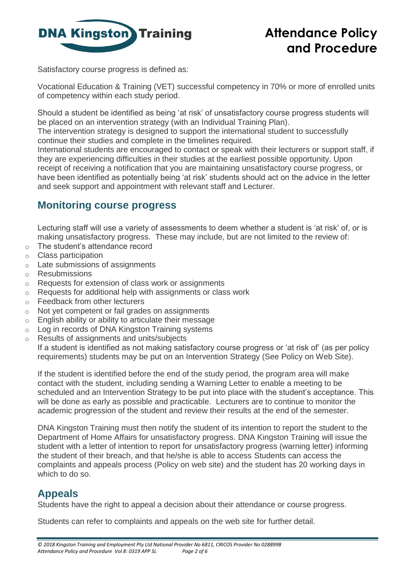

Satisfactory course progress is defined as:

Vocational Education & Training (VET) successful competency in 70% or more of enrolled units of competency within each study period.

Should a student be identified as being 'at risk' of unsatisfactory course progress students will be placed on an intervention strategy (with an Individual Training Plan).

The intervention strategy is designed to support the international student to successfully continue their studies and complete in the timelines required.

International students are encouraged to contact or speak with their lecturers or support staff, if they are experiencing difficulties in their studies at the earliest possible opportunity. Upon receipt of receiving a notification that you are maintaining unsatisfactory course progress, or have been identified as potentially being 'at risk' students should act on the advice in the letter and seek support and appointment with relevant staff and Lecturer.

## **Monitoring course progress**

Lecturing staff will use a variety of assessments to deem whether a student is 'at risk' of, or is making unsatisfactory progress. These may include, but are not limited to the review of:

- o The student's attendance record
- o Class participation
- o Late submissions of assignments
- o Resubmissions
- o Requests for extension of class work or assignments
- o Requests for additional help with assignments or class work
- o Feedback from other lecturers
- o Not yet competent or fail grades on assignments
- o English ability or ability to articulate their message
- o Log in records of DNA Kingston Training systems
- o Results of assignments and units/subjects

If a student is identified as not making satisfactory course progress or 'at risk of' (as per policy requirements) students may be put on an Intervention Strategy (See Policy on Web Site).

If the student is identified before the end of the study period, the program area will make contact with the student, including sending a Warning Letter to enable a meeting to be scheduled and an Intervention Strategy to be put into place with the student's acceptance. This will be done as early as possible and practicable. Lecturers are to continue to monitor the academic progression of the student and review their results at the end of the semester.

DNA Kingston Training must then notify the student of its intention to report the student to the Department of Home Affairs for unsatisfactory progress. DNA Kingston Training will issue the student with a letter of intention to report for unsatisfactory progress (warning letter) informing the student of their breach, and that he/she is able to access Students can access the complaints and appeals process (Policy on web site) and the student has 20 working days in which to do so.

#### **Appeals**

Students have the right to appeal a decision about their attendance or course progress.

Students can refer to complaints and appeals on the web site for further detail.